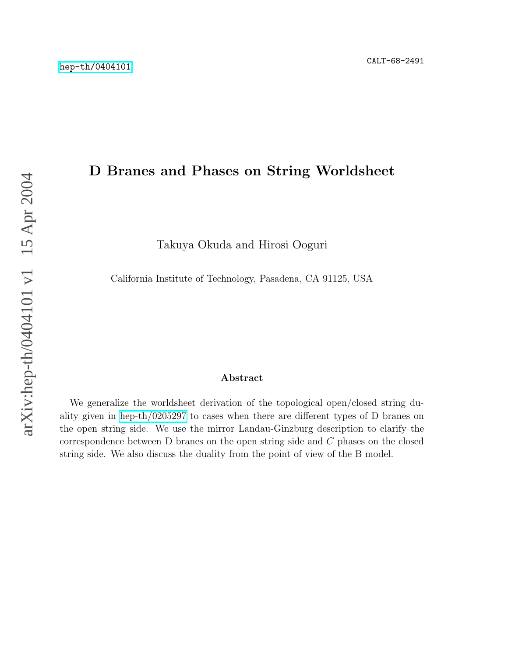# D Branes and Phases on String Worldsheet

Takuya Okuda and Hirosi Ooguri

California Institute of Technology, Pasadena, CA 91125, USA

#### Abstract

We generalize the worldsheet derivation of the topological open/closed string duality given in [hep-th/0205297](http://arxiv.org/abs/hep-th/0205297) to cases when there are different types of D branes on the open string side. We use the mirror Landau-Ginzburg description to clarify the correspondence between D branes on the open string side and C phases on the closed string side. We also discuss the duality from the point of view of the B model.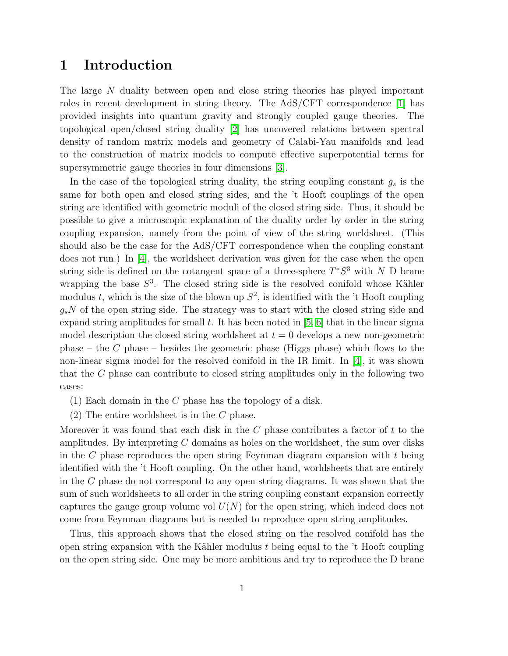## 1 Introduction

The large N duality between open and close string theories has played important roles in recent development in string theory. The AdS/CFT correspondence [\[1\]](#page-17-0) has provided insights into quantum gravity and strongly coupled gauge theories. The topological open/closed string duality [\[2\]](#page-17-1) has uncovered relations between spectral density of random matrix models and geometry of Calabi-Yau manifolds and lead to the construction of matrix models to compute effective superpotential terms for supersymmetric gauge theories in four dimensions [\[3\]](#page-17-2).

In the case of the topological string duality, the string coupling constant  $g_s$  is the same for both open and closed string sides, and the 't Hooft couplings of the open string are identified with geometric moduli of the closed string side. Thus, it should be possible to give a microscopic explanation of the duality order by order in the string coupling expansion, namely from the point of view of the string worldsheet. (This should also be the case for the AdS/CFT correspondence when the coupling constant does not run.) In [\[4\]](#page-17-3), the worldsheet derivation was given for the case when the open string side is defined on the cotangent space of a three-sphere  $T^*S^3$  with N D brane wrapping the base  $S^3$ . The closed string side is the resolved conifold whose Kähler modulus t, which is the size of the blown up  $S^2$ , is identified with the 't Hooft coupling  $g_sN$  of the open string side. The strategy was to start with the closed string side and expand string amplitudes for small t. It has been noted in  $[5, 6]$  $[5, 6]$  that in the linear sigma model description the closed string worldsheet at  $t = 0$  develops a new non-geometric phase – the C phase – besides the geometric phase (Higgs phase) which flows to the non-linear sigma model for the resolved conifold in the IR limit. In [\[4\]](#page-17-3), it was shown that the C phase can contribute to closed string amplitudes only in the following two cases:

- (1) Each domain in the C phase has the topology of a disk.
- (2) The entire worldsheet is in the C phase.

Moreover it was found that each disk in the  $C$  phase contributes a factor of  $t$  to the amplitudes. By interpreting  $C$  domains as holes on the worldsheet, the sum over disks in the  $C$  phase reproduces the open string Feynman diagram expansion with  $t$  being identified with the 't Hooft coupling. On the other hand, worldsheets that are entirely in the C phase do not correspond to any open string diagrams. It was shown that the sum of such worldsheets to all order in the string coupling constant expansion correctly captures the gauge group volume vol  $U(N)$  for the open string, which indeed does not come from Feynman diagrams but is needed to reproduce open string amplitudes.

Thus, this approach shows that the closed string on the resolved conifold has the open string expansion with the Kähler modulus  $t$  being equal to the  $'t$  Hooft coupling on the open string side. One may be more ambitious and try to reproduce the D brane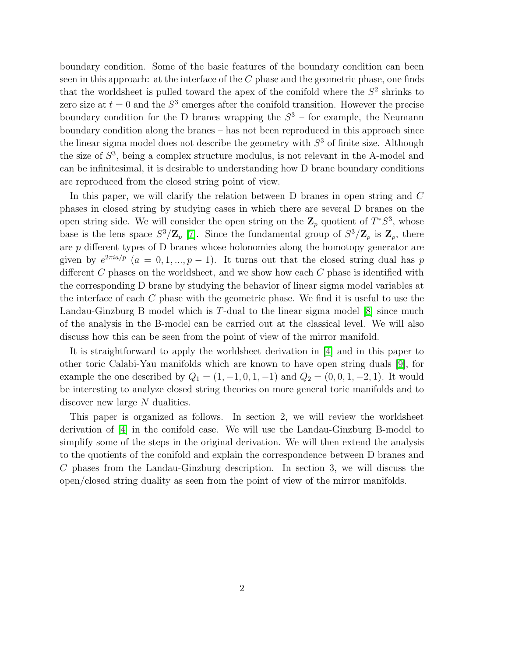boundary condition. Some of the basic features of the boundary condition can been seen in this approach: at the interface of the  $C$  phase and the geometric phase, one finds that the worldsheet is pulled toward the apex of the conifold where the  $S<sup>2</sup>$  shrinks to zero size at  $t = 0$  and the  $S<sup>3</sup>$  emerges after the conifold transition. However the precise boundary condition for the D branes wrapping the  $S<sup>3</sup>$  – for example, the Neumann boundary condition along the branes – has not been reproduced in this approach since the linear sigma model does not describe the geometry with  $S<sup>3</sup>$  of finite size. Although the size of  $S<sup>3</sup>$ , being a complex structure modulus, is not relevant in the A-model and can be infinitesimal, it is desirable to understanding how D brane boundary conditions are reproduced from the closed string point of view.

In this paper, we will clarify the relation between D branes in open string and C phases in closed string by studying cases in which there are several D branes on the open string side. We will consider the open string on the  $\mathbb{Z}_p$  quotient of  $T^*S^3$ , whose base is the lens space  $S^3/\mathbb{Z}_p$  [\[7\]](#page-17-6). Since the fundamental group of  $S^3/\mathbb{Z}_p$  is  $\mathbb{Z}_p$ , there are p different types of D branes whose holonomies along the homotopy generator are given by  $e^{2\pi i a/p}$   $(a = 0, 1, ..., p - 1)$ . It turns out that the closed string dual has p different C phases on the worldsheet, and we show how each C phase is identified with the corresponding D brane by studying the behavior of linear sigma model variables at the interface of each  $C$  phase with the geometric phase. We find it is useful to use the Landau-Ginzburg B model which is T-dual to the linear sigma model [\[8\]](#page-17-7) since much of the analysis in the B-model can be carried out at the classical level. We will also discuss how this can be seen from the point of view of the mirror manifold.

It is straightforward to apply the worldsheet derivation in [\[4\]](#page-17-3) and in this paper to other toric Calabi-Yau manifolds which are known to have open string duals [\[9\]](#page-17-8), for example the one described by  $Q_1 = (1, -1, 0, 1, -1)$  and  $Q_2 = (0, 0, 1, -2, 1)$ . It would be interesting to analyze closed string theories on more general toric manifolds and to discover new large N dualities.

This paper is organized as follows. In section 2, we will review the worldsheet derivation of [\[4\]](#page-17-3) in the conifold case. We will use the Landau-Ginzburg B-model to simplify some of the steps in the original derivation. We will then extend the analysis to the quotients of the conifold and explain the correspondence between D branes and C phases from the Landau-Ginzburg description. In section 3, we will discuss the open/closed string duality as seen from the point of view of the mirror manifolds.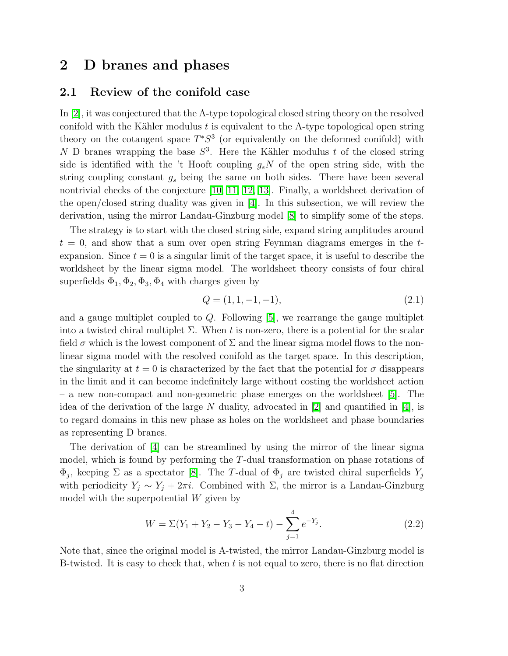## 2 D branes and phases

#### 2.1 Review of the conifold case

In [\[2\]](#page-17-1), it was conjectured that the A-type topological closed string theory on the resolved conifold with the Kähler modulus  $t$  is equivalent to the A-type topological open string theory on the cotangent space  $T^*S^3$  (or equivalently on the deformed conifold) with N D branes wrapping the base  $S^3$ . Here the Kähler modulus t of the closed string side is identified with the 't Hooft coupling  $g_sN$  of the open string side, with the string coupling constant  $g_s$  being the same on both sides. There have been several nontrivial checks of the conjecture [\[10,](#page-17-9) [11,](#page-18-0) [12,](#page-18-1) [13\]](#page-18-2). Finally, a worldsheet derivation of the open/closed string duality was given in  $|4|$ . In this subsection, we will review the derivation, using the mirror Landau-Ginzburg model [\[8\]](#page-17-7) to simplify some of the steps.

The strategy is to start with the closed string side, expand string amplitudes around  $t = 0$ , and show that a sum over open string Feynman diagrams emerges in the texpansion. Since  $t = 0$  is a singular limit of the target space, it is useful to describe the worldsheet by the linear sigma model. The worldsheet theory consists of four chiral superfields  $\Phi_1, \Phi_2, \Phi_3, \Phi_4$  with charges given by

$$
Q = (1, 1, -1, -1), \tag{2.1}
$$

and a gauge multiplet coupled to  $Q$ . Following [\[5\]](#page-17-4), we rearrange the gauge multiplet into a twisted chiral multiplet  $\Sigma$ . When t is non-zero, there is a potential for the scalar field  $\sigma$  which is the lowest component of  $\Sigma$  and the linear sigma model flows to the nonlinear sigma model with the resolved conifold as the target space. In this description, the singularity at  $t = 0$  is characterized by the fact that the potential for  $\sigma$  disappears in the limit and it can become indefinitely large without costing the worldsheet action – a new non-compact and non-geometric phase emerges on the worldsheet [\[5\]](#page-17-4). The idea of the derivation of the large N duality, advocated in [\[2\]](#page-17-1) and quantified in [\[4\]](#page-17-3), is to regard domains in this new phase as holes on the worldsheet and phase boundaries as representing D branes.

The derivation of [\[4\]](#page-17-3) can be streamlined by using the mirror of the linear sigma model, which is found by performing the T-dual transformation on phase rotations of  $\Phi_j$ , keeping  $\Sigma$  as a spectator [\[8\]](#page-17-7). The T-dual of  $\Phi_j$  are twisted chiral superfields  $Y_j$ with periodicity  $Y_j \sim Y_j + 2\pi i$ . Combined with  $\Sigma$ , the mirror is a Landau-Ginzburg model with the superpotential W given by

$$
W = \Sigma(Y_1 + Y_2 - Y_3 - Y_4 - t) - \sum_{j=1}^{4} e^{-Y_j}.
$$
\n(2.2)

Note that, since the original model is A-twisted, the mirror Landau-Ginzburg model is B-twisted. It is easy to check that, when t is not equal to zero, there is no flat direction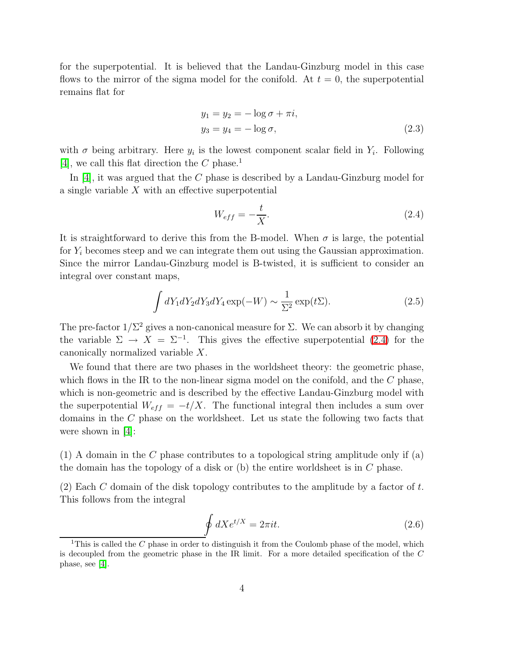for the superpotential. It is believed that the Landau-Ginzburg model in this case flows to the mirror of the sigma model for the conifold. At  $t = 0$ , the superpotential remains flat for

$$
y_1 = y_2 = -\log \sigma + \pi i,
$$
  
\n
$$
y_3 = y_4 = -\log \sigma,
$$
\n(2.3)

with  $\sigma$  being arbitrary. Here  $y_i$  is the lowest component scalar field in  $Y_i$ . Following [\[4\]](#page-17-3), we call this flat direction the  $C$  phase.<sup>1</sup>

In [\[4\]](#page-17-3), it was argued that the C phase is described by a Landau-Ginzburg model for a single variable X with an effective superpotential

<span id="page-4-0"></span>
$$
W_{eff} = -\frac{t}{X}.\tag{2.4}
$$

It is straightforward to derive this from the B-model. When  $\sigma$  is large, the potential for  $Y_i$  becomes steep and we can integrate them out using the Gaussian approximation. Since the mirror Landau-Ginzburg model is B-twisted, it is sufficient to consider an integral over constant maps,

$$
\int dY_1 dY_2 dY_3 dY_4 \exp(-W) \sim \frac{1}{\Sigma^2} \exp(t\Sigma). \tag{2.5}
$$

The pre-factor  $1/\Sigma^2$  gives a non-canonical measure for  $\Sigma$ . We can absorb it by changing the variable  $\Sigma \to X = \Sigma^{-1}$ . This gives the effective superpotential [\(2.4\)](#page-4-0) for the canonically normalized variable X.

We found that there are two phases in the worldsheet theory: the geometric phase, which flows in the IR to the non-linear sigma model on the conifold, and the  $C$  phase, which is non-geometric and is described by the effective Landau-Ginzburg model with the superpotential  $W_{eff} = -t/X$ . The functional integral then includes a sum over domains in the C phase on the worldsheet. Let us state the following two facts that were shown in  $|4|$ :

 $(1)$  A domain in the C phase contributes to a topological string amplitude only if (a) the domain has the topology of a disk or (b) the entire worldsheet is in C phase.

(2) Each C domain of the disk topology contributes to the amplitude by a factor of  $t$ . This follows from the integral

$$
\oint dX e^{t/X} = 2\pi i t. \tag{2.6}
$$

<sup>&</sup>lt;sup>1</sup>This is called the  $C$  phase in order to distinguish it from the Coulomb phase of the model, which is decoupled from the geometric phase in the IR limit. For a more detailed specification of the C phase, see [\[4\]](#page-17-3).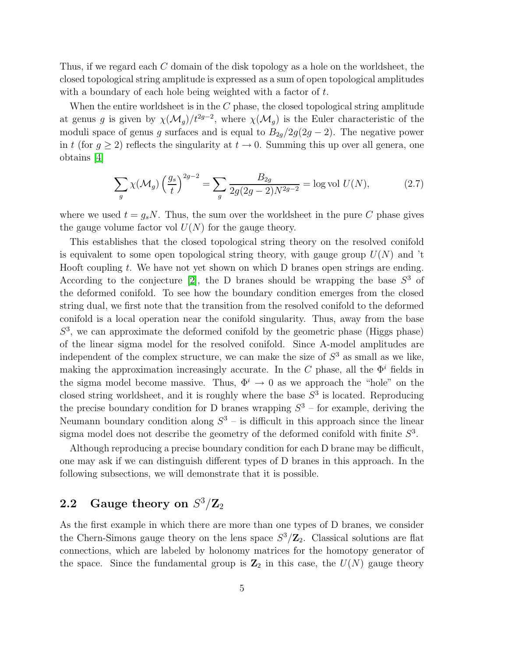Thus, if we regard each C domain of the disk topology as a hole on the worldsheet, the closed topological string amplitude is expressed as a sum of open topological amplitudes with a boundary of each hole being weighted with a factor of t.

When the entire worldsheet is in the  $C$  phase, the closed topological string amplitude at genus g is given by  $\chi(\mathcal{M}_g)/t^{2g-2}$ , where  $\chi(\mathcal{M}_g)$  is the Euler characteristic of the moduli space of genus g surfaces and is equal to  $B_{2g}/2g(2g-2)$ . The negative power in t (for  $g \ge 2$ ) reflects the singularity at  $t \to 0$ . Summing this up over all genera, one obtains [\[4\]](#page-17-3)

$$
\sum_{g} \chi(\mathcal{M}_g) \left(\frac{g_s}{t}\right)^{2g-2} = \sum_{g} \frac{B_{2g}}{2g(2g-2)N^{2g-2}} = \log \text{vol } U(N),\tag{2.7}
$$

where we used  $t = g_s N$ . Thus, the sum over the worldsheet in the pure C phase gives the gauge volume factor vol  $U(N)$  for the gauge theory.

This establishes that the closed topological string theory on the resolved conifold is equivalent to some open topological string theory, with gauge group  $U(N)$  and 't Hooft coupling t. We have not yet shown on which D branes open strings are ending. According to the conjecture [\[2\]](#page-17-1), the D branes should be wrapping the base  $S<sup>3</sup>$  of the deformed conifold. To see how the boundary condition emerges from the closed string dual, we first note that the transition from the resolved conifold to the deformed conifold is a local operation near the conifold singularity. Thus, away from the base  $S<sup>3</sup>$ , we can approximate the deformed conifold by the geometric phase (Higgs phase) of the linear sigma model for the resolved conifold. Since A-model amplitudes are independent of the complex structure, we can make the size of  $S<sup>3</sup>$  as small as we like, making the approximation increasingly accurate. In the C phase, all the  $\Phi^i$  fields in the sigma model become massive. Thus,  $\Phi^i \to 0$  as we approach the "hole" on the closed string worldsheet, and it is roughly where the base  $S<sup>3</sup>$  is located. Reproducing the precise boundary condition for D branes wrapping  $S^3$  – for example, deriving the Neumann boundary condition along  $S^3$  – is difficult in this approach since the linear sigma model does not describe the geometry of the deformed conifold with finite  $S^3$ .

Although reproducing a precise boundary condition for each D brane may be difficult, one may ask if we can distinguish different types of D branes in this approach. In the following subsections, we will demonstrate that it is possible.

# $\mathbf{2.2} \quad$  Gauge theory on  $S^3/\mathbf{Z}_2$

As the first example in which there are more than one types of D branes, we consider the Chern-Simons gauge theory on the lens space  $S^3/\mathbb{Z}_2$ . Classical solutions are flat connections, which are labeled by holonomy matrices for the homotopy generator of the space. Since the fundamental group is  $\mathbb{Z}_2$  in this case, the  $U(N)$  gauge theory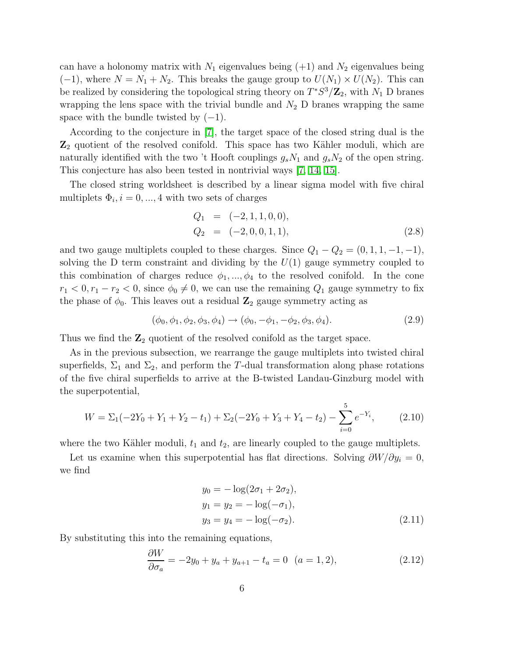can have a holonomy matrix with  $N_1$  eigenvalues being  $(+1)$  and  $N_2$  eigenvalues being  $(-1)$ , where  $N = N_1 + N_2$ . This breaks the gauge group to  $U(N_1) \times U(N_2)$ . This can be realized by considering the topological string theory on  $T^*S^3/\mathbb{Z}_2$ , with  $N_1$  D branes wrapping the lens space with the trivial bundle and  $N_2$  D branes wrapping the same space with the bundle twisted by  $(-1)$ .

According to the conjecture in [\[7\]](#page-17-6), the target space of the closed string dual is the  $\mathbb{Z}_2$  quotient of the resolved conifold. This space has two Kähler moduli, which are naturally identified with the two 't Hooft couplings  $g_sN_1$  and  $g_sN_2$  of the open string. This conjecture has also been tested in nontrivial ways [\[7,](#page-17-6) [14,](#page-18-3) [15\]](#page-18-4).

The closed string worldsheet is described by a linear sigma model with five chiral multiplets  $\Phi_i$ ,  $i = 0, ..., 4$  with two sets of charges

$$
Q_1 = (-2, 1, 1, 0, 0), Q_2 = (-2, 0, 0, 1, 1),
$$
 (2.8)

and two gauge multiplets coupled to these charges. Since  $Q_1 - Q_2 = (0, 1, 1, -1, -1)$ , solving the D term constraint and dividing by the  $U(1)$  gauge symmetry coupled to this combination of charges reduce  $\phi_1, ..., \phi_4$  to the resolved conifold. In the cone  $r_1 < 0, r_1 - r_2 < 0$ , since  $\phi_0 \neq 0$ , we can use the remaining  $Q_1$  gauge symmetry to fix the phase of  $\phi_0$ . This leaves out a residual  $\mathbb{Z}_2$  gauge symmetry acting as

$$
(\phi_0, \phi_1, \phi_2, \phi_3, \phi_4) \to (\phi_0, -\phi_1, -\phi_2, \phi_3, \phi_4). \tag{2.9}
$$

Thus we find the  $\mathbb{Z}_2$  quotient of the resolved conifold as the target space.

<span id="page-6-0"></span>As in the previous subsection, we rearrange the gauge multiplets into twisted chiral superfields,  $\Sigma_1$  and  $\Sigma_2$ , and perform the T-dual transformation along phase rotations of the five chiral superfields to arrive at the B-twisted Landau-Ginzburg model with the superpotential,

$$
W = \Sigma_1(-2Y_0 + Y_1 + Y_2 - t_1) + \Sigma_2(-2Y_0 + Y_3 + Y_4 - t_2) - \sum_{i=0}^{5} e^{-Y_i},
$$
 (2.10)

where the two Kähler moduli,  $t_1$  and  $t_2$ , are linearly coupled to the gauge multiplets.

Let us examine when this superpotential has flat directions. Solving  $\partial W/\partial y_i = 0$ , we find

$$
y_0 = -\log(2\sigma_1 + 2\sigma_2),
$$
  
\n
$$
y_1 = y_2 = -\log(-\sigma_1),
$$
  
\n
$$
y_3 = y_4 = -\log(-\sigma_2).
$$
\n(2.11)

By substituting this into the remaining equations,

<span id="page-6-1"></span>
$$
\frac{\partial W}{\partial \sigma_a} = -2y_0 + y_a + y_{a+1} - t_a = 0 \quad (a = 1, 2), \tag{2.12}
$$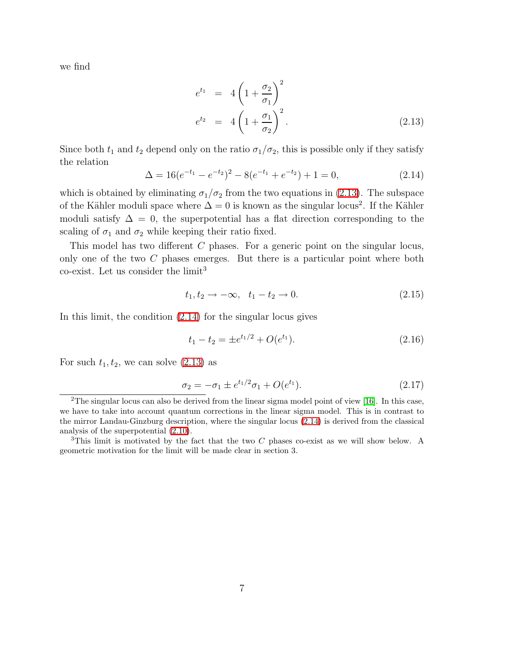we find

<span id="page-7-0"></span>
$$
e^{t_1} = 4\left(1 + \frac{\sigma_2}{\sigma_1}\right)^2
$$
  
\n
$$
e^{t_2} = 4\left(1 + \frac{\sigma_1}{\sigma_2}\right)^2.
$$
\n(2.13)

<span id="page-7-1"></span>Since both  $t_1$  and  $t_2$  depend only on the ratio  $\sigma_1/\sigma_2$ , this is possible only if they satisfy the relation

$$
\Delta = 16(e^{-t_1} - e^{-t_2})^2 - 8(e^{-t_1} + e^{-t_2}) + 1 = 0,
$$
\n(2.14)

which is obtained by eliminating  $\sigma_1/\sigma_2$  from the two equations in [\(2.13\)](#page-7-0). The subspace of the Kähler moduli space where  $\Delta = 0$  is known as the singular locus<sup>2</sup>. If the Kähler moduli satisfy  $\Delta = 0$ , the superpotential has a flat direction corresponding to the scaling of  $\sigma_1$  and  $\sigma_2$  while keeping their ratio fixed.

This model has two different C phases. For a generic point on the singular locus, only one of the two C phases emerges. But there is a particular point where both  $co-exist.$  Let us consider the limit<sup>3</sup>

<span id="page-7-3"></span><span id="page-7-2"></span>
$$
t_1, t_2 \to -\infty, \quad t_1 - t_2 \to 0. \tag{2.15}
$$

In this limit, the condition [\(2.14\)](#page-7-1) for the singular locus gives

$$
t_1 - t_2 = \pm e^{t_1/2} + O(e^{t_1}).\tag{2.16}
$$

For such  $t_1, t_2$ , we can solve  $(2.13)$  as

$$
\sigma_2 = -\sigma_1 \pm e^{t_1/2}\sigma_1 + O(e^{t_1}).\tag{2.17}
$$

<sup>&</sup>lt;sup>2</sup>The singular locus can also be derived from the linear sigma model point of view [\[16\]](#page-18-5). In this case, we have to take into account quantum corrections in the linear sigma model. This is in contrast to the mirror Landau-Ginzburg description, where the singular locus [\(2.14\)](#page-7-1) is derived from the classical analysis of the superpotential [\(2.10\)](#page-6-0).

<sup>&</sup>lt;sup>3</sup>This limit is motivated by the fact that the two C phases co-exist as we will show below. A geometric motivation for the limit will be made clear in section 3.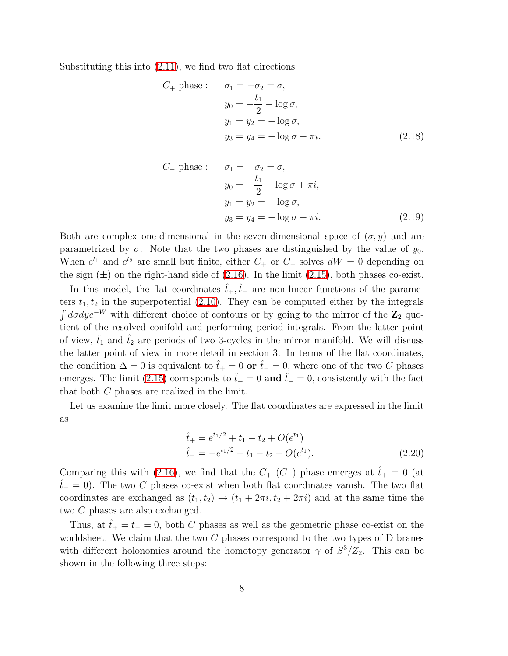<span id="page-8-0"></span>Substituting this into [\(2.11\)](#page-6-1), we find two flat directions

$$
C_{+} \text{ phase}: \quad \sigma_{1} = -\sigma_{2} = \sigma,
$$

$$
y_{0} = -\frac{t_{1}}{2} - \log \sigma,
$$

$$
y_{1} = y_{2} = -\log \sigma,
$$

$$
y_{3} = y_{4} = -\log \sigma + \pi i.
$$
(2.18)

$$
C_{-} \text{ phase}: \quad \sigma_{1} = -\sigma_{2} = \sigma,
$$
  
\n
$$
y_{0} = -\frac{t_{1}}{2} - \log \sigma + \pi i,
$$
  
\n
$$
y_{1} = y_{2} = -\log \sigma,
$$
  
\n
$$
y_{3} = y_{4} = -\log \sigma + \pi i.
$$
\n(2.19)

Both are complex one-dimensional in the seven-dimensional space of  $(\sigma, y)$  and are parametrized by  $\sigma$ . Note that the two phases are distinguished by the value of  $y_0$ . When  $e^{t_1}$  and  $e^{t_2}$  are small but finite, either  $C_+$  or  $C_-\$  solves  $dW = 0$  depending on the sign  $(\pm)$  on the right-hand side of [\(2.16\)](#page-7-2). In the limit [\(2.15\)](#page-7-3), both phases co-exist.

In this model, the flat coordinates  $t_{+}, t_{-}$  are non-linear functions of the parameters  $t_1, t_2$  in the superpotential [\(2.10\)](#page-6-0). They can be computed either by the integrals  $\int d\sigma dye^{-W}$  with different choice of contours or by going to the mirror of the  $\mathbb{Z}_2$  quotient of the resolved conifold and performing period integrals. From the latter point of view,  $\hat{t}_1$  and  $\hat{t}_2$  are periods of two 3-cycles in the mirror manifold. We will discuss the latter point of view in more detail in section 3. In terms of the flat coordinates, the condition  $\Delta = 0$  is equivalent to  $\hat{t}_+ = 0$  or  $\hat{t}_- = 0$ , where one of the two C phases emerges. The limit [\(2.15\)](#page-7-3) corresponds to  $\hat{t}_+ = 0$  and  $\hat{t}_- = 0$ , consistently with the fact that both C phases are realized in the limit.

Let us examine the limit more closely. The flat coordinates are expressed in the limit as

$$
\hat{t}_{+} = e^{t_1/2} + t_1 - t_2 + O(e^{t_1})
$$
\n
$$
\hat{t}_{-} = -e^{t_1/2} + t_1 - t_2 + O(e^{t_1}).
$$
\n(2.20)

Comparing this with [\(2.16\)](#page-7-2), we find that the  $C_{+}$  ( $C_{-}$ ) phase emerges at  $\hat{t}_{+} = 0$  (at  $t<sub>-</sub> = 0$ ). The two C phases co-exist when both flat coordinates vanish. The two flat coordinates are exchanged as  $(t_1, t_2) \rightarrow (t_1 + 2\pi i, t_2 + 2\pi i)$  and at the same time the two C phases are also exchanged.

Thus, at  $\hat{t}_+ = \hat{t}_- = 0$ , both C phases as well as the geometric phase co-exist on the worldsheet. We claim that the two  $C$  phases correspond to the two types of  $D$  branes with different holonomies around the homotopy generator  $\gamma$  of  $S^3/Z_2$ . This can be shown in the following three steps: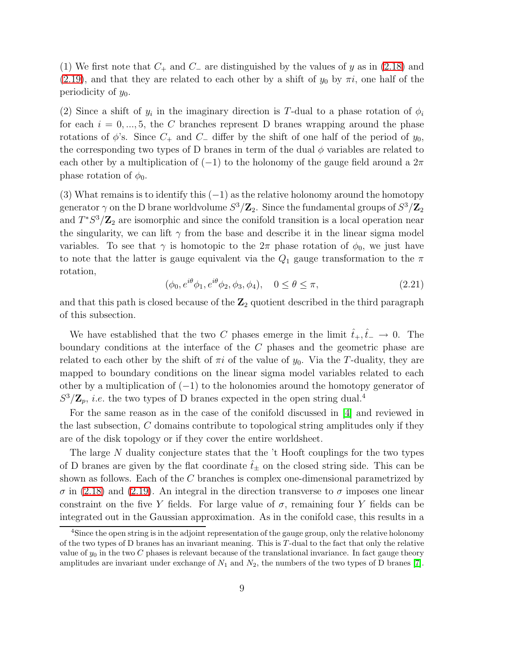(1) We first note that  $C_+$  and  $C_-$  are distinguished by the values of y as in [\(2.18\)](#page-8-0) and [\(2.19\)](#page-8-0), and that they are related to each other by a shift of  $y_0$  by  $\pi i$ , one half of the periodicity of  $y_0$ .

(2) Since a shift of  $y_i$  in the imaginary direction is T-dual to a phase rotation of  $\phi_i$ for each  $i = 0, ..., 5$ , the C branches represent D branes wrapping around the phase rotations of  $\phi$ 's. Since  $C_+$  and  $C_-$  differ by the shift of one half of the period of  $y_0$ , the corresponding two types of D branes in term of the dual  $\phi$  variables are related to each other by a multiplication of  $(-1)$  to the holonomy of the gauge field around a  $2\pi$ phase rotation of  $\phi_0$ .

(3) What remains is to identify this  $(-1)$  as the relative holonomy around the homotopy generator  $\gamma$  on the D brane worldvolume  $S^3/\mathbf{Z}_2$ . Since the fundamental groups of  $S^3/\mathbf{Z}_2$ and  $T^*S^3/\mathbb{Z}_2$  are isomorphic and since the conifold transition is a local operation near the singularity, we can lift  $\gamma$  from the base and describe it in the linear sigma model variables. To see that  $\gamma$  is homotopic to the  $2\pi$  phase rotation of  $\phi_0$ , we just have to note that the latter is gauge equivalent via the  $Q_1$  gauge transformation to the  $\pi$ rotation,

$$
(\phi_0, e^{i\theta}\phi_1, e^{i\theta}\phi_2, \phi_3, \phi_4), \quad 0 \le \theta \le \pi,
$$
\n(2.21)

and that this path is closed because of the  $\mathbb{Z}_2$  quotient described in the third paragraph of this subsection.

We have established that the two C phases emerge in the limit  $\hat{t}_+,\hat{t}_- \to 0$ . The boundary conditions at the interface of the C phases and the geometric phase are related to each other by the shift of  $\pi i$  of the value of  $y_0$ . Via the T-duality, they are mapped to boundary conditions on the linear sigma model variables related to each other by a multiplication of  $(-1)$  to the holonomies around the homotopy generator of  $S^3/\mathbf{Z}_p$ , *i.e.* the two types of D branes expected in the open string dual.<sup>4</sup>

For the same reason as in the case of the conifold discussed in [\[4\]](#page-17-3) and reviewed in the last subsection, C domains contribute to topological string amplitudes only if they are of the disk topology or if they cover the entire worldsheet.

The large N duality conjecture states that the 't Hooft couplings for the two types of D branes are given by the flat coordinate  $\hat{t}_+$  on the closed string side. This can be shown as follows. Each of the C branches is complex one-dimensional parametrized by  $\sigma$  in [\(2.18\)](#page-8-0) and [\(2.19\)](#page-8-0). An integral in the direction transverse to  $\sigma$  imposes one linear constraint on the five Y fields. For large value of  $\sigma$ , remaining four Y fields can be integrated out in the Gaussian approximation. As in the conifold case, this results in a

<sup>&</sup>lt;sup>4</sup>Since the open string is in the adjoint representation of the gauge group, only the relative holonomy of the two types of D branes has an invariant meaning. This is  $T$ -dual to the fact that only the relative value of  $y_0$  in the two C phases is relevant because of the translational invariance. In fact gauge theory amplitudes are invariant under exchange of  $N_1$  and  $N_2$ , the numbers of the two types of D branes [\[7\]](#page-17-6).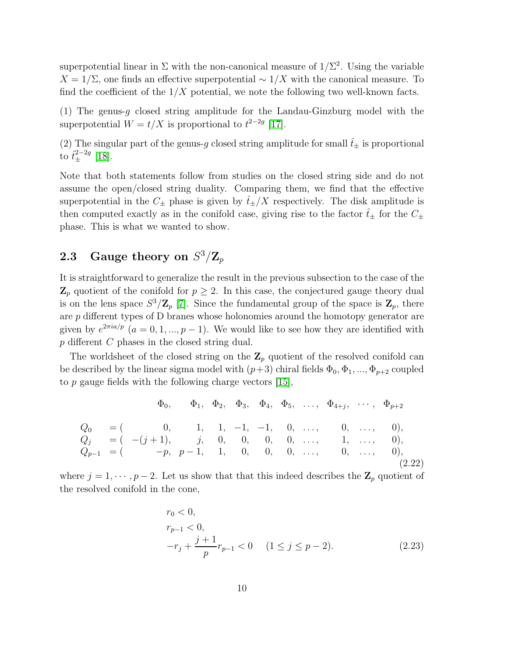superpotential linear in  $\Sigma$  with the non-canonical measure of  $1/\Sigma^2$ . Using the variable  $X = 1/\Sigma$ , one finds an effective superpotential  $\sim 1/X$  with the canonical measure. To find the coefficient of the  $1/X$  potential, we note the following two well-known facts.

(1) The genus-g closed string amplitude for the Landau-Ginzburg model with the superpotential  $W = t/X$  is proportional to  $t^{2-2g}$  [\[17\]](#page-18-6).

(2) The singular part of the genus-g closed string amplitude for small  $\hat{t}_{\pm}$  is proportional to  $\hat{t}_{\pm}^{2-2g}$  [\[18\]](#page-18-7).

Note that both statements follow from studies on the closed string side and do not assume the open/closed string duality. Comparing them, we find that the effective superpotential in the  $C_{\pm}$  phase is given by  $\hat{t}_{\pm}/X$  respectively. The disk amplitude is then computed exactly as in the conifold case, giving rise to the factor  $\hat{t}_{\pm}$  for the  $C_{\pm}$ phase. This is what we wanted to show.

# <span id="page-10-1"></span> ${\bf 2.3} \quad$  Gauge theory on  $S^3/{\bf Z}_p$

It is straightforward to generalize the result in the previous subsection to the case of the  $\mathbb{Z}_p$  quotient of the conifold for  $p \geq 2$ . In this case, the conjectured gauge theory dual is on the lens space  $S^3/\mathbb{Z}_p$  [\[7\]](#page-17-6). Since the fundamental group of the space is  $\mathbb{Z}_p$ , there are p different types of D branes whose holonomies around the homotopy generator are given by  $e^{2\pi i a/p}$   $(a = 0, 1, ..., p - 1)$ . We would like to see how they are identified with p different C phases in the closed string dual.

The worldsheet of the closed string on the  $\mathbb{Z}_p$  quotient of the resolved conifold can be described by the linear sigma model with  $(p+3)$  chiral fields  $\Phi_0, \Phi_1, ..., \Phi_{p+2}$  coupled to  $p$  gauge fields with the following charge vectors [\[15\]](#page-18-4),

<span id="page-10-0"></span>
$$
\Phi_0, \quad \Phi_1, \quad \Phi_2, \quad \Phi_3, \quad \Phi_4, \quad \Phi_5, \quad \dots, \quad \Phi_{4+j}, \quad \dots, \quad \Phi_{p+2}
$$
\n
$$
Q_0 = \begin{pmatrix} 0, & 1, 1, -1, -1, 0, & \dots, 0, & \dots, 0, \\ 0, & =(-j+1), & j, 0, 0, 0, 0, & \dots, 1, & \dots, 0, \\ Q_{p-1} = \begin{pmatrix} -p, & p-1, 1, 0, 0, 0, & \dots, 0, & \dots, 0, & \dots, 0 \end{pmatrix}, \quad (2.22)
$$

where  $j = 1, \dots, p-2$ . Let us show that that this indeed describes the  $\mathbb{Z}_p$  quotient of the resolved conifold in the cone,

$$
r_0 < 0,
$$
\n
$$
r_{p-1} < 0,
$$
\n
$$
-r_j + \frac{j+1}{p}r_{p-1} < 0 \quad (1 \le j \le p-2).
$$
\n
$$
(2.23)
$$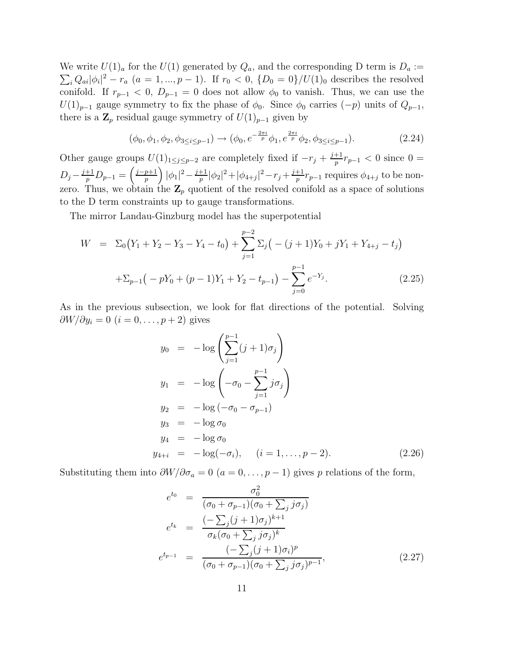We write  $U(1)<sub>a</sub>$  for the  $U(1)$  generated by  $Q<sub>a</sub>$ , and the corresponding D term is  $D<sub>a</sub> :=$  $\sum_i Q_{ai} |\phi_i|^2 - r_a$   $(a = 1, ..., p - 1)$ . If  $r_0 < 0$ ,  $\{D_0 = 0\}/U(1)_0$  describes the resolved conifold. If  $r_{p-1} < 0$ ,  $D_{p-1} = 0$  does not allow  $\phi_0$  to vanish. Thus, we can use the  $U(1)_{p-1}$  gauge symmetry to fix the phase of  $\phi_0$ . Since  $\phi_0$  carries  $(-p)$  units of  $Q_{p-1}$ , there is a  $\mathbf{Z}_p$  residual gauge symmetry of  $U(1)_{p-1}$  given by

$$
(\phi_0, \phi_1, \phi_2, \phi_{3 \le i \le p-1}) \to (\phi_0, e^{-\frac{2\pi i}{p}} \phi_1, e^{\frac{2\pi i}{p}} \phi_2, \phi_{3 \le i \le p-1}).
$$
\n(2.24)

Other gauge groups  $U(1)_{1 \leq j \leq p-2}$  are completely fixed if  $-r_j + \frac{j+1}{p}$  $\frac{+1}{p}r_{p-1} < 0$  since 0 =  $D_j - \frac{j+1}{p}$  $\frac{+1}{p}D_{p-1}=\left(\frac{j-p+1}{p}\right)$  $\frac{p+1}{p}\bigg) |\phi_1|^2 - \frac{j+1}{p}$  $\frac{+1}{p}|\phi_2|^2 + |\phi_{4+j}|^2 - r_j + \frac{j+1}{p}$  $\frac{+1}{p}r_{p-1}$  requires  $\phi_{4+j}$  to be nonzero. Thus, we obtain the  $\mathbf{Z}_p$  quotient of the resolved conifold as a space of solutions to the D term constraints up to gauge transformations.

The mirror Landau-Ginzburg model has the superpotential

$$
W = \Sigma_0 (Y_1 + Y_2 - Y_3 - Y_4 - t_0) + \sum_{j=1}^{p-2} \Sigma_j \left( -(j+1)Y_0 + jY_1 + Y_{4+j} - t_j \right)
$$
  
+ 
$$
\Sigma_{p-1} \left( -pY_0 + (p-1)Y_1 + Y_2 - t_{p-1} \right) - \sum_{j=0}^{p-1} e^{-Y_j}.
$$
 (2.25)

As in the previous subsection, we look for flat directions of the potential. Solving  $\partial W/\partial y_i = 0$   $(i = 0, \ldots, p+2)$  gives

$$
y_0 = -\log\left(\sum_{j=1}^{p-1} (j+1)\sigma_j\right)
$$
  
\n
$$
y_1 = -\log\left(-\sigma_0 - \sum_{j=1}^{p-1} j\sigma_j\right)
$$
  
\n
$$
y_2 = -\log(-\sigma_0 - \sigma_{p-1})
$$
  
\n
$$
y_3 = -\log \sigma_0
$$
  
\n
$$
y_4 = -\log \sigma_0
$$
  
\n
$$
y_{4+i} = -\log(-\sigma_i), \quad (i = 1, ..., p-2).
$$
\n(2.26)

Substituting them into  $\partial W/\partial \sigma_a = 0$   $(a = 0, \ldots, p-1)$  gives p relations of the form,

$$
e^{t_0} = \frac{\sigma_0^2}{(\sigma_0 + \sigma_{p-1})(\sigma_0 + \sum_j j\sigma_j)}
$$
  
\n
$$
e^{t_k} = \frac{(-\sum_j (j+1)\sigma_j)^{k+1}}{\sigma_k (\sigma_0 + \sum_j j\sigma_j)^k}
$$
  
\n
$$
e^{t_{p-1}} = \frac{(-\sum_j (j+1)\sigma_i)^p}{(\sigma_0 + \sigma_{p-1})(\sigma_0 + \sum_j j\sigma_j)^{p-1}},
$$
\n(2.27)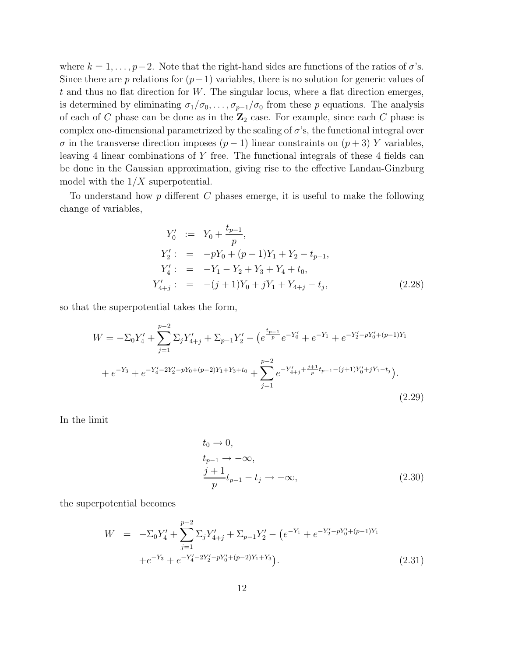where  $k = 1, \ldots, p-2$ . Note that the right-hand sides are functions of the ratios of  $\sigma$ 's. Since there are p relations for  $(p-1)$  variables, there is no solution for generic values of  $t$  and thus no flat direction for  $W$ . The singular locus, where a flat direction emerges, is determined by eliminating  $\sigma_1/\sigma_0, \ldots, \sigma_{p-1}/\sigma_0$  from these p equations. The analysis of each of C phase can be done as in the  $\mathbb{Z}_2$  case. For example, since each C phase is complex one-dimensional parametrized by the scaling of  $\sigma$ 's, the functional integral over  $\sigma$  in the transverse direction imposes  $(p-1)$  linear constraints on  $(p+3)$  Y variables, leaving 4 linear combinations of Y free. The functional integrals of these 4 fields can be done in the Gaussian approximation, giving rise to the effective Landau-Ginzburg model with the  $1/X$  superpotential.

To understand how  $p$  different  $C$  phases emerge, it is useful to make the following change of variables,

$$
Y'_0 := Y_0 + \frac{t_{p-1}}{p},
$$
  
\n
$$
Y'_2 := -pY_0 + (p-1)Y_1 + Y_2 - t_{p-1},
$$
  
\n
$$
Y'_4 := -Y_1 - Y_2 + Y_3 + Y_4 + t_0,
$$
  
\n
$$
Y'_{4+j} := -(j+1)Y_0 + jY_1 + Y_{4+j} - t_j,
$$
\n(2.28)

so that the superpotential takes the form,

$$
W = -\Sigma_0 Y_4' + \sum_{j=1}^{p-2} \Sigma_j Y_{4+j}' + \Sigma_{p-1} Y_2' - \left( e^{\frac{t_{p-1}}{p}} e^{-Y_0'} + e^{-Y_1} + e^{-Y_2' - pY_0' + (p-1)Y_1} \right. \\
\left. + e^{-Y_3} + e^{-Y_4' - 2Y_2' - pY_0 + (p-2)Y_1 + Y_3 + t_0} + \sum_{j=1}^{p-2} e^{-Y_{4+j}' + \frac{j+1}{p}t_{p-1} - (j+1)Y_0' + jY_1 - t_j} \right).
$$
\n(2.29)

<span id="page-12-0"></span>In the limit

$$
t_0 \to 0,
$$
  
\n
$$
t_{p-1} \to -\infty,
$$
  
\n
$$
\frac{j+1}{p}t_{p-1} - t_j \to -\infty,
$$
\n(2.30)

the superpotential becomes

$$
W = -\Sigma_0 Y_4' + \sum_{j=1}^{p-2} \Sigma_j Y_{4+j}' + \Sigma_{p-1} Y_2' - \left( e^{-Y_1} + e^{-Y_2' - pY_0' + (p-1)Y_1} \right. + e^{-Y_3} + e^{-Y_4' - 2Y_2' - pY_0' + (p-2)Y_1 + Y_3} \Big).
$$
\n(2.31)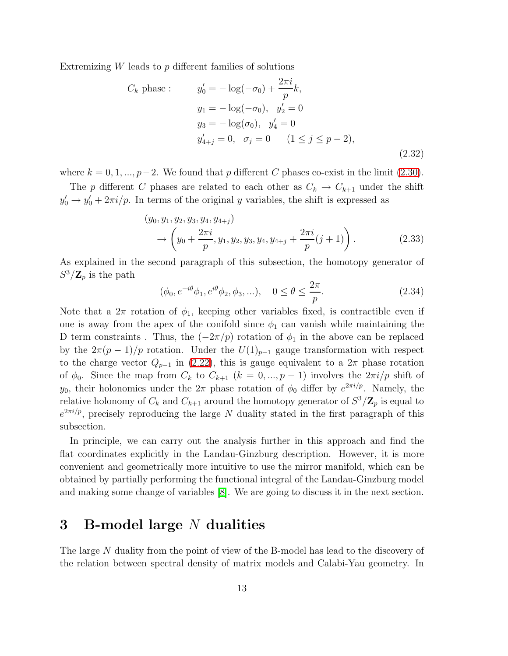Extremizing  $W$  leads to  $p$  different families of solutions

$$
C_k \text{ phase}: \t y'_0 = -\log(-\sigma_0) + \frac{2\pi i}{p}k,
$$
  
\n
$$
y_1 = -\log(-\sigma_0), \quad y'_2 = 0
$$
  
\n
$$
y_3 = -\log(\sigma_0), \quad y'_4 = 0
$$
  
\n
$$
y'_{4+j} = 0, \quad \sigma_j = 0 \quad (1 \le j \le p-2),
$$
  
\n(2.32)

where  $k = 0, 1, ..., p-2$ . We found that p different C phases co-exist in the limit [\(2.30\)](#page-12-0).

The p different C phases are related to each other as  $C_k \to C_{k+1}$  under the shift  $y'_0 \rightarrow y'_0 + 2\pi i/p$ . In terms of the original y variables, the shift is expressed as

$$
(y_0, y_1, y_2, y_3, y_4, y_{4+j})
$$
  
\n
$$
\rightarrow \left(y_0 + \frac{2\pi i}{p}, y_1, y_2, y_3, y_4, y_{4+j} + \frac{2\pi i}{p}(j+1)\right).
$$
 (2.33)

As explained in the second paragraph of this subsection, the homotopy generator of  $S^3/\mathbf{Z}_p$  is the path

$$
(\phi_0, e^{-i\theta}\phi_1, e^{i\theta}\phi_2, \phi_3, \ldots), \quad 0 \le \theta \le \frac{2\pi}{p}.
$$
 (2.34)

Note that a  $2\pi$  rotation of  $\phi_1$ , keeping other variables fixed, is contractible even if one is away from the apex of the conifold since  $\phi_1$  can vanish while maintaining the D term constraints . Thus, the  $(-2\pi/p)$  rotation of  $\phi_1$  in the above can be replaced by the  $2\pi(p-1)/p$  rotation. Under the  $U(1)_{p-1}$  gauge transformation with respect to the charge vector  $Q_{p-1}$  in [\(2.22\)](#page-10-0), this is gauge equivalent to a  $2\pi$  phase rotation of  $\phi_0$ . Since the map from  $C_k$  to  $C_{k+1}$   $(k = 0, ..., p-1)$  involves the  $2\pi i/p$  shift of  $y_0$ , their holonomies under the  $2\pi$  phase rotation of  $\phi_0$  differ by  $e^{2\pi i/p}$ . Namely, the relative holonomy of  $C_k$  and  $C_{k+1}$  around the homotopy generator of  $S^3/\mathbf{Z}_p$  is equal to  $e^{2\pi i/p}$ , precisely reproducing the large N duality stated in the first paragraph of this subsection.

In principle, we can carry out the analysis further in this approach and find the flat coordinates explicitly in the Landau-Ginzburg description. However, it is more convenient and geometrically more intuitive to use the mirror manifold, which can be obtained by partially performing the functional integral of the Landau-Ginzburg model and making some change of variables [\[8\]](#page-17-7). We are going to discuss it in the next section.

## 3 B-model large N dualities

The large N duality from the point of view of the B-model has lead to the discovery of the relation between spectral density of matrix models and Calabi-Yau geometry. In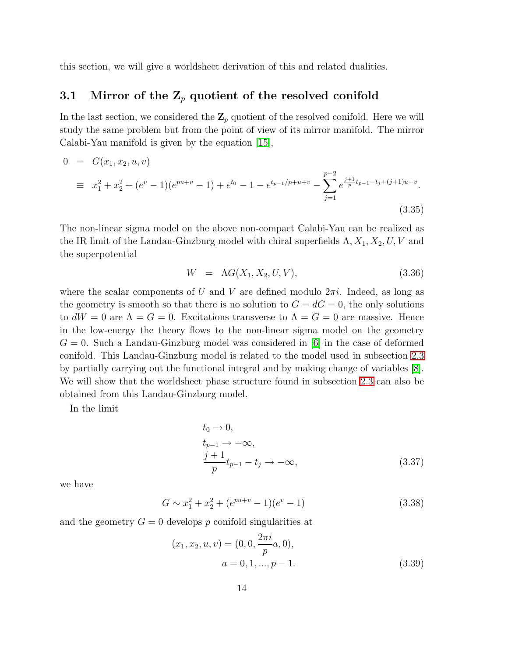this section, we will give a worldsheet derivation of this and related dualities.

### 3.1 Mirror of the  $\mathbb{Z}_p$  quotient of the resolved conifold

In the last section, we considered the  $\mathbb{Z}_p$  quotient of the resolved conifold. Here we will study the same problem but from the point of view of its mirror manifold. The mirror Calabi-Yau manifold is given by the equation [\[15\]](#page-18-4),

$$
0 = G(x_1, x_2, u, v)
$$
  
\n
$$
\equiv x_1^2 + x_2^2 + (e^v - 1)(e^{pu+v} - 1) + e^{t_0} - 1 - e^{t_{p-1}/p + u + v} - \sum_{j=1}^{p-2} e^{\frac{j+1}{p}t_{p-1} - t_j + (j+1)u + v}.
$$
\n
$$
(3.35)
$$

The non-linear sigma model on the above non-compact Calabi-Yau can be realized as the IR limit of the Landau-Ginzburg model with chiral superfields  $\Lambda$ ,  $X_1$ ,  $X_2$ ,  $U$ ,  $V$  and the superpotential

$$
W = \Lambda G(X_1, X_2, U, V), \tag{3.36}
$$

where the scalar components of U and V are defined modulo  $2\pi i$ . Indeed, as long as the geometry is smooth so that there is no solution to  $G = dG = 0$ , the only solutions to  $dW = 0$  are  $\Lambda = G = 0$ . Excitations transverse to  $\Lambda = G = 0$  are massive. Hence in the low-energy the theory flows to the non-linear sigma model on the geometry  $G = 0$ . Such a Landau-Ginzburg model was considered in [\[6\]](#page-17-5) in the case of deformed conifold. This Landau-Ginzburg model is related to the model used in subsection [2.3](#page-10-1) by partially carrying out the functional integral and by making change of variables [\[8\]](#page-17-7). We will show that the worldsheet phase structure found in subsection [2.3](#page-10-1) can also be obtained from this Landau-Ginzburg model.

<span id="page-14-0"></span>In the limit

$$
t_0 \to 0,
$$
  
\n
$$
t_{p-1} \to -\infty,
$$
  
\n
$$
\frac{j+1}{p}t_{p-1} - t_j \to -\infty,
$$
\n(3.37)

we have

$$
G \sim x_1^2 + x_2^2 + (e^{pu+v} - 1)(e^v - 1)
$$
\n(3.38)

and the geometry  $G = 0$  develops p conifold singularities at

$$
(x_1, x_2, u, v) = (0, 0, \frac{2\pi i}{p}a, 0),
$$
  

$$
a = 0, 1, ..., p - 1.
$$
 (3.39)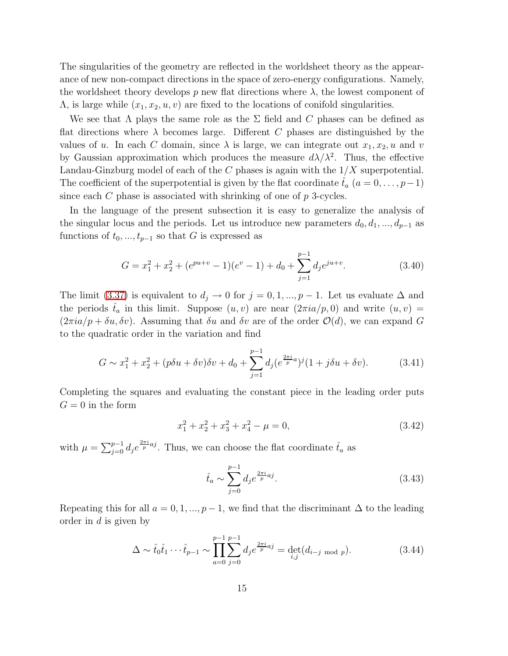The singularities of the geometry are reflected in the worldsheet theory as the appearance of new non-compact directions in the space of zero-energy configurations. Namely, the worldsheet theory develops p new flat directions where  $\lambda$ , the lowest component of  $\Lambda$ , is large while  $(x_1, x_2, u, v)$  are fixed to the locations of conifold singularities.

We see that  $\Lambda$  plays the same role as the  $\Sigma$  field and C phases can be defined as flat directions where  $\lambda$  becomes large. Different C phases are distinguished by the values of u. In each C domain, since  $\lambda$  is large, we can integrate out  $x_1, x_2, u$  and v by Gaussian approximation which produces the measure  $d\lambda/\lambda^2$ . Thus, the effective Landau-Ginzburg model of each of the  $C$  phases is again with the  $1/X$  superpotential. The coefficient of the superpotential is given by the flat coordinate  $\tilde{t}_a$   $(a = 0, \ldots, p-1)$ since each  $C$  phase is associated with shrinking of one of  $p$  3-cycles.

In the language of the present subsection it is easy to generalize the analysis of the singular locus and the periods. Let us introduce new parameters  $d_0, d_1, ..., d_{p-1}$  as functions of  $t_0, ..., t_{p-1}$  so that G is expressed as

$$
G = x_1^2 + x_2^2 + (e^{pu+v} - 1)(e^v - 1) + d_0 + \sum_{j=1}^{p-1} d_j e^{ju+v}.
$$
 (3.40)

The limit [\(3.37\)](#page-14-0) is equivalent to  $d_j \to 0$  for  $j = 0, 1, ..., p - 1$ . Let us evaluate  $\Delta$  and the periods  $t_a$  in this limit. Suppose  $(u, v)$  are near  $(2\pi i a/p, 0)$  and write  $(u, v)$  =  $(2\pi i a/p + \delta u, \delta v)$ . Assuming that  $\delta u$  and  $\delta v$  are of the order  $\mathcal{O}(d)$ , we can expand G to the quadratic order in the variation and find

$$
G \sim x_1^2 + x_2^2 + (p\delta u + \delta v)\delta v + d_0 + \sum_{j=1}^{p-1} d_j (e^{\frac{2\pi i}{p}a})^j (1 + j\delta u + \delta v).
$$
 (3.41)

Completing the squares and evaluating the constant piece in the leading order puts  $G = 0$  in the form

$$
x_1^2 + x_2^2 + x_3^2 + x_4^2 - \mu = 0,\t\t(3.42)
$$

with  $\mu = \sum_{j=0}^{p-1} d_j e^{\frac{2\pi i}{p} a_j}$ . Thus, we can choose the flat coordinate  $\hat{t}_a$  as

$$
\hat{t}_a \sim \sum_{j=0}^{p-1} d_j e^{\frac{2\pi i}{p}aj}.
$$
\n(3.43)

Repeating this for all  $a = 0, 1, ..., p-1$ , we find that the discriminant  $\Delta$  to the leading order in d is given by

$$
\Delta \sim \hat{t}_0 \hat{t}_1 \cdots \hat{t}_{p-1} \sim \prod_{a=0}^{p-1} \sum_{j=0}^{p-1} d_j e^{\frac{2\pi i}{p} a j} = \det_{i,j} (d_{i-j \mod p}). \tag{3.44}
$$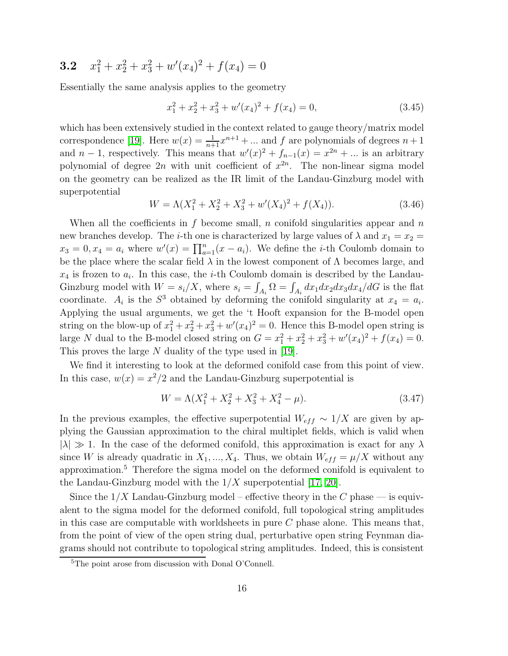#### $3.2$  $x_1^2 + x_2^2 + x_3^2 + w'(x_4)^2 + f(x_4) = 0$

Essentially the same analysis applies to the geometry

$$
x_1^2 + x_2^2 + x_3^2 + w'(x_4)^2 + f(x_4) = 0,
$$
\n(3.45)

which has been extensively studied in the context related to gauge theory/matrix model correspondence [\[19\]](#page-18-8). Here  $w(x) = \frac{1}{n+1}x^{n+1} + ...$  and f are polynomials of degrees  $n+1$ and  $n-1$ , respectively. This means that  $w'(x)^2 + f_{n-1}(x) = x^{2n} + ...$  is an arbitrary polynomial of degree  $2n$  with unit coefficient of  $x^{2n}$ . The non-linear sigma model on the geometry can be realized as the IR limit of the Landau-Ginzburg model with superpotential

$$
W = \Lambda(X_1^2 + X_2^2 + X_3^2 + w'(X_4)^2 + f(X_4)).
$$
\n(3.46)

When all the coefficients in f become small, n conifold singularities appear and  $n$ new branches develop. The *i*-th one is characterized by large values of  $\lambda$  and  $x_1 = x_2$  $x_3 = 0, x_4 = a_i$  where  $w'(x) = \prod_{a=1}^n (x - a_i)$ . We define the *i*-th Coulomb domain to be the place where the scalar field  $\lambda$  in the lowest component of  $\Lambda$  becomes large, and  $x_4$  is frozen to  $a_i$ . In this case, the *i*-th Coulomb domain is described by the Landau-Ginzburg model with  $W = s_i/X$ , where  $s_i = \int_{A_i} \Omega = \int_{A_i} dx_1 dx_2 dx_3 dx_4/dG$  is the flat coordinate.  $A_i$  is the  $S^3$  obtained by deforming the conifold singularity at  $x_4 = a_i$ . Applying the usual arguments, we get the 't Hooft expansion for the B-model open string on the blow-up of  $x_1^2 + x_2^2 + x_3^2 + w'(x_4)^2 = 0$ . Hence this B-model open string is large N dual to the B-model closed string on  $G = x_1^2 + x_2^2 + x_3^2 + w'(x_4)^2 + f(x_4) = 0$ . This proves the large N duality of the type used in [\[19\]](#page-18-8).

We find it interesting to look at the deformed conifold case from this point of view. In this case,  $w(x) = x^2/2$  and the Landau-Ginzburg superpotential is

$$
W = \Lambda(X_1^2 + X_2^2 + X_3^2 + X_4^2 - \mu). \tag{3.47}
$$

In the previous examples, the effective superpotential  $W_{eff} \sim 1/X$  are given by applying the Gaussian approximation to the chiral multiplet fields, which is valid when  $|\lambda| \gg 1$ . In the case of the deformed conifold, this approximation is exact for any  $\lambda$ since W is already quadratic in  $X_1, ..., X_4$ . Thus, we obtain  $W_{eff} = \mu/X$  without any approximation.<sup>5</sup> Therefore the sigma model on the deformed conifold is equivalent to the Landau-Ginzburg model with the  $1/X$  superpotential [\[17,](#page-18-6) [20\]](#page-18-9).

Since the  $1/X$  Landau-Ginzburg model – effective theory in the C phase — is equivalent to the sigma model for the deformed conifold, full topological string amplitudes in this case are computable with worldsheets in pure  $C$  phase alone. This means that, from the point of view of the open string dual, perturbative open string Feynman diagrams should not contribute to topological string amplitudes. Indeed, this is consistent

<sup>5</sup>The point arose from discussion with Donal O'Connell.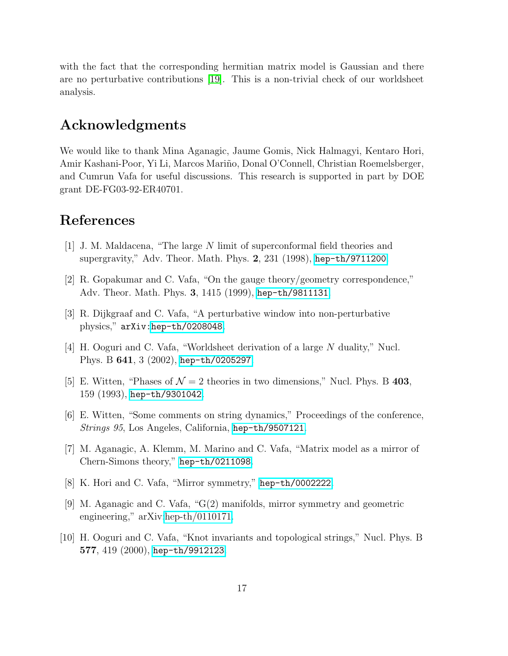with the fact that the corresponding hermitian matrix model is Gaussian and there are no perturbative contributions [\[19\]](#page-18-8). This is a non-trivial check of our worldsheet analysis.

## Acknowledgments

We would like to thank Mina Aganagic, Jaume Gomis, Nick Halmagyi, Kentaro Hori, Amir Kashani-Poor, Yi Li, Marcos Mariño, Donal O'Connell, Christian Roemelsberger, and Cumrun Vafa for useful discussions. This research is supported in part by DOE grant DE-FG03-92-ER40701.

## <span id="page-17-0"></span>References

- <span id="page-17-1"></span>[1] J. M. Maldacena, "The large N limit of superconformal field theories and supergravity," Adv. Theor. Math. Phys. 2, 231 (1998), [hep-th/9711200](http://arxiv.org/abs/hep-th/9711200).
- <span id="page-17-2"></span>[2] R. Gopakumar and C. Vafa, "On the gauge theory/geometry correspondence," Adv. Theor. Math. Phys. 3, 1415 (1999), [hep-th/9811131](http://arxiv.org/abs/hep-th/9811131).
- <span id="page-17-3"></span>[3] R. Dijkgraaf and C. Vafa, "A perturbative window into non-perturbative physics," arXiv[:hep-th/0208048](http://arxiv.org/abs/hep-th/0208048).
- <span id="page-17-4"></span>[4] H. Ooguri and C. Vafa, "Worldsheet derivation of a large N duality," Nucl. Phys. B 641, 3 (2002), [hep-th/0205297](http://arxiv.org/abs/hep-th/0205297).
- <span id="page-17-5"></span>[5] E. Witten, "Phases of  $\mathcal{N} = 2$  theories in two dimensions," Nucl. Phys. B 403, 159 (1993), [hep-th/9301042](http://arxiv.org/abs/hep-th/9301042).
- <span id="page-17-6"></span>[6] E. Witten, "Some comments on string dynamics," Proceedings of the conference, Strings 95, Los Angeles, California, [hep-th/9507121](http://arxiv.org/abs/hep-th/9507121).
- <span id="page-17-7"></span>[7] M. Aganagic, A. Klemm, M. Marino and C. Vafa, "Matrix model as a mirror of Chern-Simons theory," [hep-th/0211098](http://arxiv.org/abs/hep-th/0211098).
- <span id="page-17-8"></span>[8] K. Hori and C. Vafa, "Mirror symmetry," [hep-th/0002222](http://arxiv.org/abs/hep-th/0002222).
- [9] M. Aganagic and C. Vafa, "G(2) manifolds, mirror symmetry and geometric engineering," arXiv[:hep-th/0110171.](http://arxiv.org/abs/hep-th/0110171)
- <span id="page-17-9"></span>[10] H. Ooguri and C. Vafa, "Knot invariants and topological strings," Nucl. Phys. B 577, 419 (2000), [hep-th/9912123](http://arxiv.org/abs/hep-th/9912123).